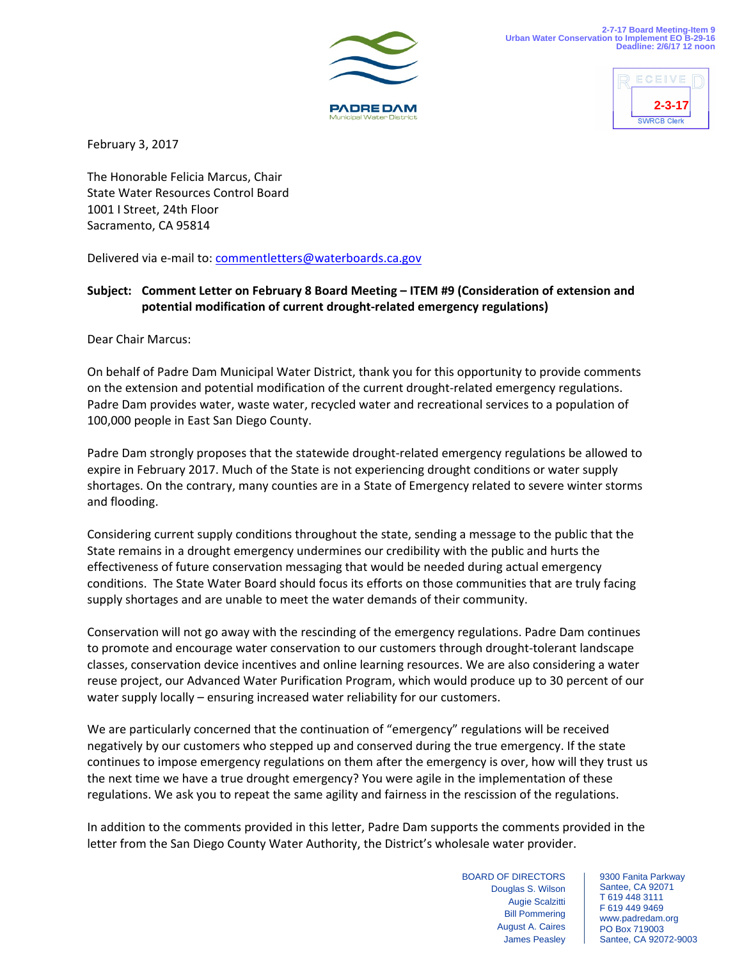



February 3, 2017

The Honorable Felicia Marcus, Chair State Water Resources Control Board 1001 I Street, 24th Floor Sacramento, CA 95814

Delivered via e-mail to: [commentletters@waterboards.ca.gov](mailto:commentletters@waterboards.ca.gov)

## **Subject: Comment Letter on February 8 Board Meeting – ITEM #9 (Consideration of extension and potential modification of current drought-related emergency regulations)**

Dear Chair Marcus:

On behalf of Padre Dam Municipal Water District, thank you for this opportunity to provide comments on the extension and potential modification of the current drought-related emergency regulations. Padre Dam provides water, waste water, recycled water and recreational services to a population of 100,000 people in East San Diego County.

Padre Dam strongly proposes that the statewide drought-related emergency regulations be allowed to expire in February 2017. Much of the State is not experiencing drought conditions or water supply shortages. On the contrary, many counties are in a State of Emergency related to severe winter storms and flooding.

Considering current supply conditions throughout the state, sending a message to the public that the State remains in a drought emergency undermines our credibility with the public and hurts the effectiveness of future conservation messaging that would be needed during actual emergency conditions. The State Water Board should focus its efforts on those communities that are truly facing supply shortages and are unable to meet the water demands of their community.

Conservation will not go away with the rescinding of the emergency regulations. Padre Dam continues to promote and encourage water conservation to our customers through drought-tolerant landscape classes, conservation device incentives and online learning resources. We are also considering a water reuse project, our Advanced Water Purification Program, which would produce up to 30 percent of our water supply locally – ensuring increased water reliability for our customers.

We are particularly concerned that the continuation of "emergency" regulations will be received negatively by our customers who stepped up and conserved during the true emergency. If the state continues to impose emergency regulations on them after the emergency is over, how will they trust us the next time we have a true drought emergency? You were agile in the implementation of these regulations. We ask you to repeat the same agility and fairness in the rescission of the regulations.

In addition to the comments provided in this letter, Padre Dam supports the comments provided in the letter from the San Diego County Water Authority, the District's wholesale water provider.

> BOARD OF DIRECTORS Douglas S. Wilson Augie Scalzitti Bill Pommering August A. Caires James Peasley

9300 Fanita Parkway Santee, CA 92071 T 619 448 3111 F 619 449 9469 www.padredam.org PO Box 719003 Santee, CA 92072-9003